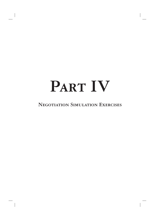# PART IV

# **Negotiation Simulation Exercises**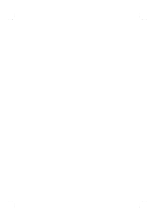$\frac{1}{\sqrt{2}} \int_{-\infty}^{\infty} \frac{1}{\sqrt{2}} \, d \mu \, d \mu$  $\frac{1}{2}$  $\begin{array}{c} - \\ | \end{array}$  $\frac{1}{\sqrt{2}}$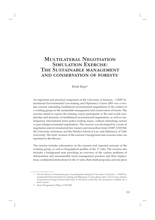# **Multilateral Negotiation Simulation Exercise: The Sustainable management and conservation of forests**<sup>1</sup>

## *Brook Boyer2*

An important and practical component of the University of Joensuu – UNEP International Environmental Law-making and Diplomacy Course 2005 was a twoday exercise simulating multilateral environmental negotiations in the context of a working group on the sustainable management and conservation of forests. The exercise aimed to expose the training course participants to the real-world complexities and dynamics of multilateral environmental negotiations, as well as contemporary international forest policy-making issues, without mimicking current or past intergovernmental negotiations. The exercise was developed by a team of negotiation and environmental law trainers and researchers from UNEP, UNITAR, the University of Joensuu and the Fletcher School of Law and Diplomacy of Tufts University. The draft versions of the exercise's background and scenario notes are reprinted in this Review.

The exercise includes information on the scenario and expected outcome of the working group, as well as biographical profiles of the 17 roles. The exercise also includes a background note providing an overview of the various problems of deforestation and unsustainable forest management practices and their implications; confidential instructions for the 17 roles; three draft proposals; and one press

<sup>1</sup> For the full set of documents given to participants during the University of Joensuu – UNEP International Environmental Law-making and Diplomacy Course please refer to the Course website, www.joensuu.fi /unep/envlaw/index.html. It should be noted that the documents available are a draft version.

<sup>2</sup> Senior Programme Officer, UNITAR.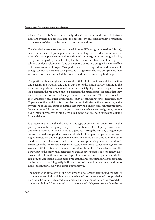release. The exercise's purpose is purely educational; the scenario and role instructions are entirely hypothetical and do not represent any official policy or position of the names of the organizations or countries mentioned.

The simulation exercise was conducted in two different groups (red and black), since the number of participants in the course largely exceeded the number of roles. The participants were randomly divided into the groups and assigned roles, except for the participant asked to play the role of the chairman of each group, which was done selectively. None of the participants was assigned the role of his or her own country of origin. Most participants were assigned individual roles, although several participants were paired to a single role. The two groups were then separated and they conducted the exercise in different university buildings.

The participants were given their confidential role instructions and information and background material one day in advance of the simulation. According to the results of the post-exercise evaluation, approximately 80 percent of the participants (85 percent in the red group and 78 percent in the black group) reported that they read the exercise documents the night before the simulation. When asked whether they undertook any other preparations, such as consulting other delegates, only 52 percent of the participants in the black group indicated in the affirmative, while 80 percent in the red group indicated that they had undertook such preparations. Seventy-one and 76 percent of the participants in the black and red groups, respectively, rated themselves as highly involved in the exercise, both inside and outside formal debates.

It is interesting to note that the amount and type of preparation undertaken by the participants in the two groups may have conditioned, at least partly, how the negotiation processes unfolded in the two groups. During the first day's negotiation session, the red group's discussions and debates took place in plenary and were highly structured and co-operative. Discussions in the black group, on the other hand, were much less structured, reflected uncompromising behaviour and took part most of the time outside of plenary session in informal consultations, corridor work, etc. While this was certainly the result of the style of the chairman and the behaviour of the individual delegates as well as other possible factors, it may also have resulted from the amount and type of preparation that the participants in the two groups undertook. Much more preparation and consultation was undertaken by the red group which greatly facilitated discussions and debate once the simulation of the informal working group got underway.

The negotiation processes of the two groups also largely determined the nature of the outcomes. Although both groups achieved outcomes, the red group's chairman took the initiative to produce a draft text in the evening before the second day of the simulation. When the red group reconvened, delegates were able to begin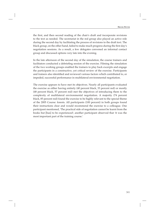the first, and then second reading of the chair's draft and incorporate revisions to the text as needed. The secretariat in the red group also played an active role during the second day by facilitating the process of revisions to the draft text. The black group, on the other hand, failed to make much progress during the first day's negotiation sessions. As a result, a few delegates convened an informal contact group and discussed options very late into the evening.

In the late afternoon of the second day of the simulation, the course trainers and facilitators conducted a debriefing session of the exercise. Filming the simulation of the two working groups enabled the trainers to play back excerpts and engage the participants in a constructive, yet critical review of the exercise. Participants and trainers also identified and reviewed various factors which contributed to, or impeded, successful performance in multilateral environmental negotiation.

The exercise appears to have met its objectives. Nearly all participants evaluated the exercise as either having entirely (40 percent black, 33 percent red) or mostly (48 percent black, 57 percent red) met the objectives of introducing them to the complexity of multilateral environmental negotiation. A majority (74 percent black, 85 percent red) found the exercise to be highly relevant to the special theme of the 2005 Course: forests. All participants (100 percent) in both groups found their instructions clear and would recommend the exercise to a colleague. One participant mentioned, 'The practical side of negotiation cannot be learnt from the books but [has] to be experienced'; another participant observed that 'it was the most important part of the training course.'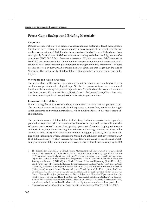## **Forest Game Background Briefing Materials<sup>3</sup>**

#### **Overview**

Despite international efforts to promote conservation and sustainable forest management, forest areas have continued to decline rapidly in most regions of the world. Forests currently cover an estimated 3.6 billion hectares, about one third of the world's land area, from an originally forested area of 6 billion hectares. According to the Food and Agriculture Organization (FAO) *Global Forest Resources Assessment 2000*, 4 the gross rate of deforestation in 1990-2000 was estimated to be 14.6 million hectares per year, with a net annual rate of 9.4 million hectares after accounting for reforestation and growth in tree plantations. The total net loss of forests in 1990-2000, 9.4 million hectares, equals an area larger than the size of Venezuela. The vast majority of deforestation, 14.2 million hectares per year, occurs in the tropics.

#### **Where are the World's Forests?**

The largest share of the world's forests can be found in Europe. However, tropical forests are the most predominant ecological type. Ninety-five percent of forest cover is natural forest and the remaining five percent is plantations. Two-thirds of the world's forests are distributed among 10 countries: Russia, Brazil, Canada, the United States, China, Australia, the Democratic Republic of Congo (DRC), Indonesia, Angola, and Peru.

#### **Causes of Deforestation**

Understanding the root causes of deforestation is central to international policy-making. The proximate causes, such as agricultural expansion or forest fires, are driven by larger social, economic, and environmental forces, which must be addressed in order to create viable solutions.

The proximate causes of deforestation include: i) agricultural expansion to feed growing populations combined with increased cultivation of cash crops and livestock; ii) area development, such as road construction, opening up access to forests for logging, settlements and agriculture, large dams, flooding forested areas and mining activities, resulting in the clearing of large areas; iii) unsustainable commercial logging practices, such as clear-cutting and illegal logging which, according to World Bank estimates, cost governments USD 10-15 billion annually; iv) alien invasive species, devastating entire tree species and threatening to fundamentally alter natural forest ecosystems; v) forest fires, burning up to  $500$ 

<sup>3</sup> The Negotiation Simulation on Global Forests Management and Conservation is for educational use only. The scenario and role instructions in this simulation are entirely hypothetical and do NOT represent any official policy or positions. This simulation exercise was developed in partnership by the United Nations Environment Programme (UNEP), the United Nations Institute for Training and Research (UNITAR), the Fletcher School of Law and Diplomacy (Tufts University), and the University of Joensuu, Finland, under the direction of Barbara Ruis (UNEP), Brook Boyer (UNITAR), Professor Adil Najam (Fletcher School of Law) and Professor Tuomas Kuokkanen (University of Joensuu). Brooke Barton and Nadaa Taiyab, both of the Fletcher School of Law, co-ordinated the role development, and the individual role instructions were written by Brooke Barton, Karoun Demirjian, Joshua Newton, Nadaa Taiyab, and Nirmalan Wigneswaran from the Fletcher School of Law and Hyun-Binn Cho and Arun Seetulsingh from UNITAR. The development of the exercise was supported by the University of Joensuu. This exercise may not be used, reproduced, revised, or translated in whole or in part by any means without written permission.

<sup>4</sup> Food and Agriculture Organization, *Global Forest Resources Assessment 2000* (FAO: Rome, 2001).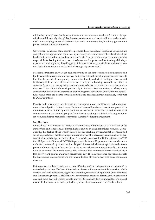million hectares of woodlands, open forests, and savannahs annually; vi) climate change, which could drastically alter global forest ecosystems, as well as air pollution and acid rain; vii) The underlying causes of deforestation are far more complex, involving government policy, market failure and poverty.

Government policies in some countries promote the conversion of forestland to agriculture and cattle grazing. In some countries, farmers run the risk of losing their land title if the land is not converted to agriculture or other "useful" purposes. Many governments are also responsible for issuing timber concessions below market prices and for turning a blind eye to, or even profiting from, illegal logging. Subsidies in forestry, agriculture and transportation further encourage practices that are ecologically destructive.

Market mechanisms only assign economic value to the timber extracted from forests and fail to value the environmental services and other cultural, social and subsistence benefits that forests provide. Consequently, demand for forest products is far higher than would be the case if these externalities were factored into prices. Lacking economic incentives to conserve forests, it is unsurprising that landowners choose to convert land to other productive uses. International demand, particularly in industrialized countries, for cheap meat, soybeans for livestock and paper further encourages the conversion of forestland to agricultural uses. Forests are cleared for cash crops that are produced almost exclusively for export to OECD countries.

Poverty and weak land tenure in rural areas also play a role. Landlessness and unemployment drive migration to forest areas. Sustainable use of forests and investment potential in the forest sector is limited by weak land tenure policies. In addition, the exclusion of local communities and indigenous peoples from decision-making and benefit-sharing from forest resources further reduces incentives for sustainable forest management.

#### **Implications**

Forests have multiple uses and benefits as storehouses of biodiversity, as stabilizers of the atmosphere and landscape, as human habitat and as an essential natural resource. Consequently, the decline of the world's forests has far-reaching environmental, economic and social implications. Forests are important repositories of biodiversity, containing 60-90 percent of all terrestrial species on the planet. The World Conservation Union estimated in 1997 that 12.5 percent of the world's 270,000 species of plants and 75 percent of the world's mammals are threatened by forest decline. Tropical forests, which cover approximately seven percent of the world's surface, are the most species-rich environments on earth, containing up to 90 percent of the world's species. It is estimated that rainforest deforestation leads to a loss of 137 plant, animal and insect species each day. The disappearance of species disrupts the functioning of ecosystems and may mean the loss of yet undiscovered cures for human diseases.

Deforestation is a key contributor to desertification and land degradation and essential to watershed protection. The loss of forested area leaves soil more vulnerable to erosion, which can lead to extensive flooding, aggravated droughts, landslides, the pollution of watercourses and the loss of agricultural productivity. Desertification affects 41 percent of the world's land area and more than 900 million people in over 100 countries. It is estimated that the annual income lost in areas immediately affected by desertification amounts to USD 42 billion.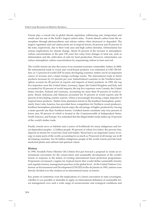Forests play a crucial role in global climate regulation, influencing rain, temperature and winds and are one of the Earth's largest carbon sinks. Forests absorb carbon from the atmosphere through photosynthesis and release carbon when destroyed or degraded. The largest vegetation and soil carbon pools are in tropical forests, 60 percent and 45 percent of the total, respectively, due to their wide area and high carbon densities. Deforestation has serious implications for climate change. About 25 percent of the increase in atmospheric carbon concentrations in the past 150 years has come from changes in land use, such as deforestation and the cultivation of soils for food production. However, reforestation can reduce atmospheric carbon concentrations by sequestering carbon in trees and soil.

The world's forests are also the source of an essential economic commodity: timber. In 2000, the international trade in wood and wood-based products was estimated at USD 354 billion, or 1.2 percent of world GDP. In many developing countries, timber can be an important source of revenue and a major foreign exchange earner. The international trade in forest products increases by 4.5 percent per year. Industrialized countries in the Northern hemisphere account for 80 percent of exports and imports of forest products. In 1995, the top five importers were the United States, Germany, Japan, the United Kingdom and Italy and accounted for 50 percent of world imports; the top five exporters were Canada, the United States, Sweden, Finland and Germany, accounting for more than 50 percent of world exports. Brazil, Indonesia and Malaysia accounted for 10 percent of world exports and 50 percent of developing country exports. China is increasingly becoming a major importer of tropical forest products. Timber from plantation forests in the Southern hemisphere, particularly from Latin America, has provided fierce competition for Northern wood producers. Southern hemisphere plantation forests enjoy the advantage of higher productivity, having a faster growth rate than Northern forests. Certified forests constitute only four percent of forest area, 90 percent of which is located in the Commonwealth of Independent States, North America, and Europe. It is estimated that the illegal timber trade makes up 10 percent of the world's timber trade.

Finally, forests serve as habitats and a source of livelihoods for many indigenous and forest-dependent peoples. 1.2 billion people, 90 percent of whom live below the poverty line, depend on forests for wood fuel, food and fodder. Wood fuel is an important source of energy in many parts of the world, accounting for as much as 70 percent of all energy use in 40 developing countries. For 60 million indigenous people of the world, forests provide food, medicinal plants and cultural and spiritual values.

#### **History**

In 1990, Swedish Prime Minister Ola Ulstein first put forward a proposal to create an international convention for the conservation and sustainable development of the world's forests in response to the failure of existing international forest protection programmes. Proponents envisioned a regime for tropical forests that would define sustainable forestry and regulate forestry management practices at the global level. At the United Nations Conference on Environment and Development (UNCED) in Rio de Janeiro in 1992, nations were fiercely divided over the creation of an international treaty on forests.

Key points of contention were the implications of a forest convention to state sovereignty, whether it was possible or desirable to apply an international definition of sustainable forest management over such a wide range of socioeconomic and ecological conditions and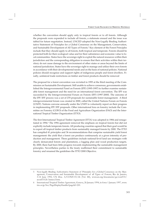whether the convention should apply only to tropical forests or to all forests. Although the proposals were expanded to include all forests, a stalemate ensued and the issue was tabled for future negotiation. Instead, UNCED adopted the Non-Legally Binding Authoritative Statement of Principles for a Global Consensus on the Management, Conservation, and Sustainable Development of All Types of Forests.5 Key element of the Forest Principles include that they should apply to all forests, both tropical and temperate. Forests should be protected both for their ecological value and for their subsistence and economic value to local communities. States have the sovereign right to exploit the natural resources within their jurisdiction and the corresponding obligation to ensure that their activities within their territory do not cause damage to the environment of other states or areas beyond the limits of national jurisdiction. States have the sovereign right to manage and utilize their own forests in accordance with their developmental needs and on the basis of national policies. National policies should recognize and support rights of indigenous people and forest dwellers. Finally, unilateral trade restrictions on timber and forest products should be removed

The proposal for a forest convention was revisited in 1995 at the third meeting of the Commission on Sustainable Development. Still unable to achieve consensus, governments established the Intergovernmental Panel on Forests (IPF) (1995-1997) to further examine sustainable forest management and the need for an international forest convention. The IPF was succeeded by the Intergovernmental Forum on Forests (IFF) (1997-2000). The outcome of the IPF/IFF process was a set of 270 proposals for sustainable forest management. A third intergovernmental forum was created in 2000, called the United Nations Forum on Forests (UNFF). Nations convene annually under the UNFF to voluntarily report on their progress in implementing IPF/IFF proposals. Other international fora on forestry include the Committee on Forestry (COFO) of the Food and Agriculture Organization (FAO) and the International Tropical Timber Organization (ITTO).

The first International Tropical Timber Agreement (ITTA) was adopted in 1984 and renegotiated in 1994.<sup>6</sup> The 1994 agreement removed the emphasis on tropical forests but did not explicitly include temperate forests. All producing countries agreed that their goal would be to export all tropical timber products from sustainably managed forests by 2000. The ITTO has compiled 41 principles and 36 recommendations that comprise sustainable yield forest management: the yield that a forest can produce continuously at a given intensity of production and management. These guidelines include national-level land use strategies with clearly demarcated forests and plantations, a logging plan and wood production targets. By 2000, there had been little progress towards implementing the sustainable management principles. Nevertheless parties to the treaty reaffirmed their commitment to sustainable forestry and renamed the guidelines the ITTO 2000 Objective.

<sup>5</sup> Non-legally Binding Authoritative Statement of Principles for a Global Consensus on the Management, Conservation and Sustainable Development of all Types of Forests, Rio de Janeiro, 3-14 June 1992, UN Doc. A/CONF.151/26 (Vol. III), www.un.org/documents/ga/conf151/ aconf15126-3annex3.htm.

<sup>6</sup> International Tropical Timber Agreement, Geneva, 26 January 1994, in force 1 January 1997, www. itto.or.jp/live/PageDisplayHandler?pageId=201.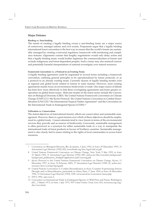#### **Major Debates**

#### **Binding vs. Non-binding**

The merits of creating a legally binding versus a non-binding treaty are a major source of controversy amongst nations and civil society. Proponents argue that a legally binding international forest convention is the best way to ensure that the world's forests are sustainably managed by creating a universal regulatory framework with monitoring and compliance features. Opponents counter that lengthy negotiations would only delay action and that a legally binding treaty would further legitimize the commercialization of forests and exclude indigenous and forest-dependent peoples. Such a treaty may also entrench narrow and potentially harmful interpretations of national sovereignty over natural resources.

#### **Framework Convention vs. a Protocol to an Existing Treaty**

A legally binding agreement could be negotiated in several forms including a framework convention, outlining general principles to be operationalized by future protocols, or as a protocol to an already existing treaty. Currently dozens of legally binding treaties exist at regional and global levels related to forests in some manner. However, most existing agreements mainly focus on environment, biodiversity or trade. One major source of debate has been how more effectively to link these overlapping agreements and foster greater cooperation on global forest issues. Relevant treaties in the forest sector include the Convention on Biological Diversity (CBD), 7 the United Nations Framework Convention on Climate Change (UNFCCC),<sup>8</sup> the Kyoto Protocol,<sup>9</sup> the United Nations Convention to Combat Desertification (UNCCD),<sup>10</sup> the International Tropical Timber Agreement<sup>11</sup> and the Convention on the International Trade in Endangered Species (CITES).<sup>12</sup>

#### **Utilization vs. Conservation**

The stated objectives of international forestry efforts are conservation and sustainable management. However, there is a great tension over which of these objectives should be emphasized in a global treaty. Conservationists tend to view forests in terms of the environmental services they provide and as sources of biodiversity. Conversely, sustainable management is often perceived as a synonym for either sustainable trade or a way to manipulate the international trade of forest products in favour of Northern countries. Sustainable management is also closely tied to issues relating to the rights of local communities to access forest resources.

<sup>7</sup> Convention on Biological Diversity, Rio de Janeiro, 5 June 1992, in force 29 December 1993, 31 *International Legal Materials* (1992) 822, www.biodiv.org/doc/legal/cbd-en.pdf.

<sup>8</sup> United Nations Framework Convention on Climate Change, New York, 9 May 1992, in force 21 March 1994, 31 *International Legal Materials* (1992) 849, unfccc.int/files/essential\_background/ background\_publications\_htmlpdf/application/pdf/conveng.pdf.

<sup>9</sup> Kyoto Protocol to the United Nations Framework Convention on Climate Change, Kyoto, 11 December 1997, in force 16 February 2005, 37 *International Legal Materials* (1998) 22, unfccc.int/ resource/docs/convkp/kpeng.pdf.

<sup>10</sup> United Nations Convention to Combat Desertification in those Countries Experiencing Serious Drought and/or Desertification, particularly in Africa, Paris, 17 June 1994, in force 26 December 1996, 33 *International Legal Materials* (1994) 1309, www.unccd.int/convention/menu.php.

<sup>11</sup> ITTA 1994, *supra* note 6.

<sup>12</sup> Convention on International Trade in Endangered Species of Wild Flora and Fauna, Washington D.C., 3 March 1973, in force 1 July 1975, 993 *United Nations Treaty Series* 243, www.cites.org/eng/ disc/text.shtml.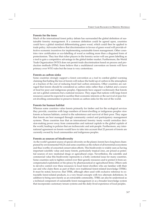#### **Forests for the trees**

Much of the international forest policy debate has surrounded the global definition of sustainable forestry management. If a common definition could be agreed upon, countries could have a global standard differentiating green wood, which could then be applied to trade policy. Advocates believe that discrimination in favour of green wood will provide effective economic incentives for implementing sustainable forest management. Other countries view certification or eco-labelling of wood as nothing more than a disguised form of protectionism. They fear that richer players in the forestry sector will use green labelling as a tool to gain a competitive advantage in the global timber market. Furthermore, the World Trade Organization (WTO) does not permit trade discrimination based on process and production methods (PPM). Some believe that a multilateral convention on forests will have primacy over WTO rules but the issue is very contentious.

#### **Forests as carbon sinks**

Some countries strongly support a forest convention as a tool to combat global warming claiming that halting the loss of forests will reduce the build-up of carbon in the atmosphere at a fraction of the cost of reducing fossil fuel carbon emissions. Other countries are outraged that forests should be considered as carbon sinks rather than a habitat and a source of food for poor and indigenous peoples. Opponents have argued vociferously that forests are not a global commons but a national resource. They argue that nations with large forest resources cannot be expected to sacrifice their economic interests or the survival of poor forest-dwelling communities to preserve forests as carbon sinks for the rest of the world.

#### **Forests for human habitat**

Whereas some countries value forests primarily for timber and for the ecological services they provide, countries with large numbers of forest-dwelling or indigenous peoples view forests as human habitats, central to the subsistence and survival of their poor. They argue that forests are best managed through community control and participatory management systems. These countries fear that an international forestry treaty would centralize decision-making power away from communities and national capitals to the global capitals of the world, leading to policies that are technocratic and anti-people. Furthermore, any international agreement on forests would have to take into account that 22 percent of forests are currently owned by local communities and indigenous peoples.

#### **Forests as sources of biodiversity**

As the world's greatest source of species diversity on the planet, forests have long been championed by environmental NGOs and some countries as the richest of all terrestrial ecosystems and thus worthy of concerted conservation efforts. This biodiversity is widely seen as having important scientific value and many forests, particularly tropical ones, are prized as potential sources of new medicinal drugs or agricultural crops. Nevertheless, the scientific and commercial value this biodiversity represents is a hotly contested issue for many countries. Some countries seek to tighten control over their genetic resources and to protect it from uncompensated exploitation or bio-piracy by pharmaceutical or agricultural firms. Others seek to devolve control over these resources to local forest dwellers who are familiar with their use and who claim them as part of their own traditional forest-related knowledge (TFRK). It must be noted, however, that TFRK, although often used with exclusive reference to extractable forest-related products, is a very broad concepts with two alternate definitions. In addition to being seen merely as an extractable commodity, TFRK can also be understood as a technical component of sustainable forest management or as a broader knowledge system that incorporates customary tenure systems and the daily-lived experience of local peoples.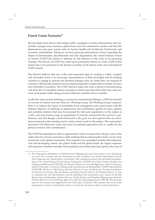# **Forest Game Scenario<sup>13</sup>**

Recent studies have shown that despite public campaigns to reduce deforestation and sustainably manage forest resources, global forest area has continued to decline and that this phenomenon may pose serious risks for human health and livelihoods, biodiversity and economic sustainability. Taking its cue from growing international concern regarding the impact of deforestation, desertification and land degradation, the United Nations Forum on Forests (UNFF) has chosen to dedicate its full attention to this issue in its upcoming meeting. The Director of UNFF has called upon participant nations to create a draft of this framework, to be presented to the plenary assembly of all nations at the next international UNFF summit.

The Director believes that one of the most important steps to creating a widely accepted and actionable treaty is to encourage representatives of both developed and developing countries to engage in upfront and informal dialogue early on, before they are required to commit to official state positions and accompanying public scrutiny that invariably narrows one's flexibility of position. The UNFF Director hopes that such a period of brainstorming will allow the 17 assembled nations to produce a draft treaty that reflects the most vital concerns of all parties while taking account of the best scientific advice available.

As the first step towards initiating a constructive international dialogue, UNFF has decided to convene 16 nations and one Chair in a Working Group. The Working Group's responsibility is to address the issues of sustainable forest management and conservation with the ultimate objective of outlining an appropriate and well-defined agenda of issues, options and potential solutions that may be presented for full-scale negotiations on the subject at a later, and more formal, stage of negotiations. It must be stressed that the exercise is preliminary, and that though a draft framework is the goal, it is not expected that any document produced at this meeting can be a final, formal word on the subject. The end product document will define key issues and areas for potential agreement and/or conflict for the plenary session's later consideration.

The UNFF has attempted to select a representative body of nations that will give voice to the major relevant concerns and issues, while realizing that no representative body can be a true microcosm of the global community. The countries to be assembled include both industrialized and developing nations, the global North and the global South, the largest exporters and importers of timber and other forest products and nations that may speak to the issue of

<sup>13</sup> The Negotiation Simulation on Global Forests Management and Conservation is for educational use only. The scenario and role instructions in this simulation are entirely hypothetical and do NOT represent any official policy or positions. This simulation exercise was developed in partnership by the United Nations Environment Programme (UNEP), the United Nations Institute for Training and Research (UNITAR), the Fletcher School of Law and Diplomacy (Tufts University), and the University of Joensuu, Finland, under the direction of Barbara Ruis (UNEP), Brook Boyer (UNITAR), Professor Adil Najam (Fletcher School of Law) and Professor Tuomas Kuokkanen (University of Joensuu). Brooke Barton and Nadaa Taiyab, both of the Fletcher School of Law, co-ordinated the role development, and the individual role instructions were written by Brooke Barton, Karoun Demirjian, Joshua Newton, Nadaa Taiyab, and Nirmalan Wigneswaran from the Fletcher School of Law and Hyun-Binn Cho and Arun Seetulsingh from UNITAR. The development of the exercise was supported by the University of Joensuu. This exercise may not be used, reproduced, revised, or translated in whole or in part by any means without written permission.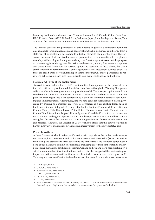balancing livelihoods and forest cover. These nations are Brazil, Canada, China, Costa Rica, DRC, Ecuador, France (EU), Finland, India, Indonesia, Japan, Laos, Madagascar, Russia, Tanzania and the United States. A representative from Switzerland will serve as the chair.

The Director seeks for the participants of this meeting to generate a consensus document on sustainable forest management and conservation. Such a document could range from a statement of principles to a declaration to a draft of elements of a potential treaty. The consensus document that is arrived at may be presented as recommendations to the plenary assembly. With apologies for any redundancy, the Director again stresses that the purpose of this meeting is to reinvigorate discussion on the subject, identify key issues and options and create a *draft* framework for possible options. To assist you in these efforts, the UNFF staff has identified a preliminary list of three general areas of discussion, outlined below. As these are broad areas, however, it is hoped that the meeting will enable participants to narrow the debate within each area to identifiable, and manageable, issues and options.

#### **Nature and Form of the Instrument**

To assist in your deliberations, UNFF has identified three options for the potential form that international legislation on deforestation may take, although the Working Group may collectively be able to suggest a more appropriate model. The strongest option would be a stand-alone Framework Convention on Forests, under which deforestation and an action plan for curtailing it would be confronted as a problem for unique consideration, funding and implementation. Alternatively, nations may consider capitalizing on existing synergies by creating an agreement on forests as a protocol to a pre-existing treaty such as the Convention on Biological Diversity,<sup>14</sup> the United Nations Framework Convention on Climate Change, 15 the Kyoto Protocol, 16 the United Nations Convention to Combat Desertification,<sup>17</sup> the International Tropical Timber Agreement<sup>18</sup> and the Convention on the International Trade in Endangered Species.19 A third and least proactive option would be to simply strengthen the role of the UNFF as the co-ordinating mechanism for continued forest action and research. However, the Director of UNFF wishes to stress that this course of action is hardly innovative, and marks only a marginal improvement to the current status quo.

#### **Possible Actions**

A draft framework should take specific action with regards to the timber trade, ecosystem services, local livelihoods and traditional forest-related knowledge (TFRK), as well as monitoring and assessment. First, concerning the timber trade, the strongest option would be to oblige nations to commit to sustainably managing all of their timber stands and implementing mandatory certification schemes. Canada and Finland have been working on a set of international certification standards and have further suggested that nations impose import restrictions on uncertified timber (see the attached Vancouver-Helsinki proposal).<sup>20</sup> Voluntary national certification is the other option, but would be a fairly weak measure, as

- 17 UNCCD, *supra* note 10.
- 18 ITTA 1994, *supra* note 6.
- 19 CITES, *supra* note 12.

<sup>14</sup> CBD, *supra*, note 7.

<sup>15</sup> UNFCCC *supra* note 8.

<sup>16</sup> Kyoto Protocol, *supra*, note 9.

<sup>20</sup> This document is available on the University of Joensuu – UNEP International Environmental Law-making and Diplomacy Course website, www.joensuu.fi/unep/envlaw/index.html.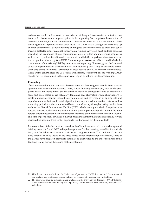each nation would be free to set its own criteria. With regard to ecosystems protection, nations could choose from a range of options including setting firm targets on the reduction of deforestation rates, mandatory increases in conservation areas and the strengthening of national legislation to protect conservation areas. The UNFF would strongly advise setting up an inter-governmental panel to identify endangered ecosystems or no-go areas that could then be protected under national conservation regimes. Any plan must address concerns regarding the livelihoods of local communities, forest-dwellers and indigenous peoples, as well as poverty alleviation. Several governments and NGO groups have also advocated for the recognition of local rights to TRFK. Monitoring and assessment efforts could include the continuation of the existing UNFF system of annual reporting. However, given the low level of actual implementation of national forest management plans, it may be advisable to consider employing third party verification of these reports by NGOs or international bodies. These are the general areas the UNFF feels are necessary to confront, but the Working Group should not feel constrained to these particular topics or options for its consideration.

#### **Financing**

There are several options that could be considered for financing sustainable forestry management and conservation activities. First, a new financing mechanism, such as the proposed Forest Financing Fund (see the attached Brazilian proposal), 21 could be created via some sort of global tax or via voluntary donations. This alternative would allow nations to create a unique mechanism focused solely on forestry and governed in an appropriate and equitable manner, but would entail significant start-up and administrative costs as well as a learning period. Another route would be to channel money through existing mechanisms such as the Global Environment Facility (GEF), which has a great deal of experience in forestry projects. Other options include public-private partnerships that would facilitate foreign direct investment into national forest sectors to promote more efficient and sustainable timber production, as well as a market-based mechanism that would essentially rely on increased tax revenue from timber exports to fund ongoing certification efforts.

Representatives of the 16 countries, as well as the Chair, have received common background briefing materials from UNFF to help them prepare for this meeting, as well as individualized, confidential instructions from their respective governments. The confidential instructions detail each role's views on the three issues under consideration.<sup>22</sup> Moreover, some of the parties have prepared proposals that may be distributed to the other members of the Working Group during the course of the negotiation.

<sup>21</sup> This document is available on the University of Joensuu – UNEP International Environmental Law-making and Diplomacy Course website, www.joensuu.fi /unep/envlaw/index.html.

<sup>22</sup> The individual country instructions are available on the University of Joensuu – UNEP International Environmental Law-making and Diplomacy Course website, www.joensuu.fi /unep/envlaw/ index.html.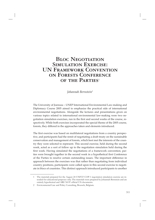# **Bloc Negotiation Simulation Exercise: UN Framework Convention on Forests Conference of the Parties**<sup>1</sup>

### *Johannah Bernstein2*

The University of Joensuu – UNEP International Environmental Law-making and Diplomacy Course 2005 aimed to emphasize the practical side of international environmental negotiations. Alongside the lectures and presentations given on various topics related to international environmental law-making were two negotiation simulation exercises, run in the first and second weeks of the course, respectively. While both exercises incorporated the special theme of the 2005 course, forests, they differed in the approaches taken and elements introduced.

The first exercise was based on multilateral negotiations from a country perspective, and participants had the remit of negotiating a draft treaty on the sustainable conservation and management of forests, which best met the interests of the country they were selected to represent. This second exercise, held during the second week, acted as a sort of follow up to the negotiation simulation held during the first week. Having simulated the negotiations of a framework convention, parties were brought together in the second week in a hypothetical first Conference of the Parties to resolve certain outstanding issues. The important difference in approach between the exercises was that rather than negotiating from individual country positions, participants were called upon in this second exercise to negotiate in blocs of countries. This distinct approach introduced participants to another

<sup>1</sup> The materials prepared for the August 24 UNFCF COP-1 negotiation simulation exercise are intended for educational purposes only. The materials were prepared by Johannah Bernstein and are entirely hypothetical and ARE NOT official UN documents.

<sup>2</sup> Environmental Law and Policy Consulting, Brussels, Belgium.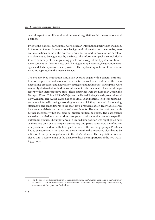central aspect of multilateral environmental negotiations: bloc negotiations and positions.

Prior to the exercise, participants were given an information pack which included, in the form of an explanatory note, background information on the exercise, general instructions on how the exercise would be run and information on substantive elements to be negotiated by the blocs. The information pack also included a Chair's summary of the negotiating points and a copy of the hypothetical framework convention. Lecture notes on MEA Negotiating Processes, Negotiation Strategies and Techniques were also provided. The explanatory note and Chair's summary are reprinted in the present Review.<sup>3</sup>

The one day bloc negotiation simulation exercise began with a general introduction to the purpose and scope of the exercise, as well as an outline of the main negotiating processes and negotiation strategies and techniques. Participants were randomly designated individual countries, not their own, which they would represent within their respective blocs. These four blocs were the European Union, the Group of 77 and China, JUSCANZ (Japan, the United States, Canada, Australia and New Zealand) and AOSIS (Association of Small Island States). The blocs began negotiations internally during a working lunch in which they prepared bloc opening statements and amendments to the draft texts provided earlier. This was followed by a general debate on the proposed amendments. The exercise continued with further meetings within the blocs to prepare unified positions. The participants were then divided into two working groups, each with a remit to negotiate specific outstanding issues. The importance of a unified bloc position was highlighted here as there was only one participant per country and participants were therefore not in a position to individually take part in each of the working groups. Positions had to be negotiated in advance and partners within the respective blocs had to be relied on to carry out negotiations in the bloc's interests. The negotiation exercise closed with a reconvening of the plenary to hear the rapporteurs of the two working groups.

<sup>3</sup> For the full set of documents given to participants during the Course please refer to the University of Joensuu – UNEP International Environmental Law-making and Diplomacy Course website, www.joensuu.fi /unep/envlaw/index.html.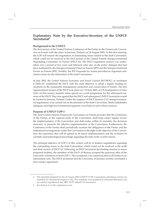# **Explanatory Note by the Executive-Secretary of the UNFCF Secretariat4**

#### **Background to the UNFCF**

The first session of the United Nations Conference of the Parties to the Framework Convention on Forests will take place in Joensuu, Finland, on 24 August 2005. At this first meeting, the COP will resume the negotiation of outstanding issues related to the draft Convention, which could not be resolved at the final session of the United Nations Intergovernmental Negotiating Committee on Forests (INCF-10). The INCF negotiation process was undertaken over a period of two years and followed, inter alia, on the policy dialogue that had been facilitated by the Intergovernmental Panel on Forests (IPF) and the Intergovernmental Forum on Forests (IFF). Notably, the IPF Proposals for Action provided an important substantive basis for the elaboration of the draft Convention.

In July 2003, the United Nations Economic and Social Council (ECOSOC), in resolution E/2003/47, established the INCF with the main objective to adopt a legally binding instrument on the sustainable management, protection and conservation of forests. The first organizational session of the INCF took place on 1-10 July 2003, at UN headquarters in New York. At that session, member states agreed on a work programme for the subsequent sessions of the INCF. They also agreed that the INCF and subsequent UNFCF Secretariat would be located in Joensuu, Finland. Under the auspices of INCF Sessions 2-10, intergovernmental negotiations were carried out on the elements of the draft Convention. Multi-stakeholder dialogues and high-level ministerial segments were held at each of these sessions.

#### **Purpose of UNFCF COP-1**

The draft United Nations Framework Convention on Forests provides that the Conference of the Parties, as the supreme body of the Convention, shall keep under regular review the implementation of the Convention and shall make, within its mandate, the decisions necessary to promote the effective implementation of the Convention. Furthermore, the Conference of the Parties shall periodically examine the obligations of the Parties and the institutional arrangements under the Convention in the light of the objective of the Convention, the experience that will be gained in its future implementation and the evolution of scientific and technological knowledge regarding the state of the world's forests.

The principal objective of COP-1 in this context will be to finalize negotiations regarding the outstanding issues in the draft Convention, which could not be resolved at the tenth and final session of INCF-10.<sup>5</sup> Following an INCF Secretariat fact-finding mission to assess proposed facilities, the members of the INCF-10 Bureau accepted the generous offer of the University of Joensuu to host COP-1. This acceptance was communicated to all Parties in an information note. The INCF secretariat and the University of Joensuu recently concluded a host country agreement.

<sup>4</sup> The materials prepared for the 24 August 2005 UNFCF COP-1 negotiation simulation exercise are intended for educational purposes only. The materials were prepared by Johannah Bernstein and are entirely hypothetical and ARE NOT official UN documents.

<sup>5</sup> See Section 4 of this explanatory note.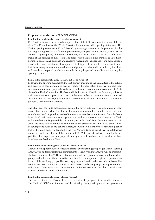#### **Proposed organization of UNFCF COP-1**

#### **Item 1 of the provisional agenda (Opening statements)**

COP 1 will be opened by the newly adopted Chair of the COP, Ambassador Johannah Bernstein. The Committee of the Whole (CoW) will commence with opening statements. The Chair's opening statement will be followed by opening statements to be presented by the four negotiating blocs in the following order: G-77, European Union, AOSIS, JUSCANZ. In order to dispose quickly of opening procedures, it is proposed that these be the only statements at the opening of the session. The blocs will be allocated five minutes each to highlight their overarching priorities and concerns regarding the challenges of the management, conservation and sustainable development of all types of forests. It is important to note that the opening statements, amendments and proposals, which will be tabled by the blocs, will have been prepared in advance, notably during the period immediately preceding the opening of COP-1.

#### **Item 2 of the provisional agenda (General debate on Article 4)**

Following the opening statements, the first plenary meeting of the Committee of the Whole will proceed to consideration of Item 2, whereby the negotiation blocs will prepare their new amendments and proposals to the seven substantive commitments contained in Article 4 of the Draft Convention. The blocs will be invited to identify the following points in their amendments and proposals to each of the seven substantive commitments: contested elements and the underlying rationale for objections to existing elements of the text and proposals for alternative elements.

The Chair will conclude discussion of each of the seven substantive commitments in their consecutive order. Each of the blocs will have a maximum of five minutes to present their amendments and proposal for each of the seven substantive commitments. Once the blocs have tabled their amendments and proposal to each of the seven commitments, the Chair will open the floor for general debate on the proposals tabled for each commitment. At this stage, the blocs will be invited to comment on the proposals that will have been tabled. Following conclusion of the general debate, the Chair will identify the outstanding issues that will require priority attention by the two Working Groups, which will be established under the CoW. The Chair will then adjourn the CoW to provide sufficient time for the negotiation blocs to prepare new proposals in response to the outstanding issues that will not have been resolved in the CoW.

#### **Item 3 of the provisional agenda (Working Groups A and B)**

The Chair will appoint Bureau officers to preside over working group negotiations. Working Group A will address substantive commitments 1-4 and Working Group B will address substantive commitments 5-7. The negotiation blocs will be represented in each of the working groups and will divide their respective members to ensure optimal regional representation in each of the working groups. The working group chairs will undertake informal consultations where necessary and may refer drafting tasks to informal groups, as appropriate. As well, COP-1 Chair Ambassador Bernstein will undertake Friends of the Chair consultations to assist in working group deliberations.

#### **Item 4 of the provisional agenda (Closing Plenary)**

The final session of the CoW will convene to review the progress of the Working Groups. The Chair of COP-1 and the chairs of the Working Groups will present the agreements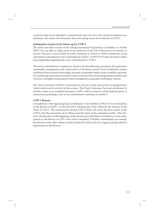reached on the seven substantive commitments and will review the results of informal consultations. The Chair will summarize the outstanding issues to be deferred to COP-2.

#### **Substantive issues to be taken up by COP-1**

The tenth and final session of the Intergovernmental Negotiating Committee on Forests (INCF-10) was able to adopt most of the draft text of the UN Framework Convention on Forests. However, it was unable to reach conclusion on Article 4, which contains the seven substantive commitments to be undertaken by Parties. At INCF-10, Parties decided to defer final negotiation regarding the seven commitments to COP-1.

The seven commitments contained in Article 4 are the following: guarantee the protection, sustainable management and conservation of all forests; protect local livelihoods; protect traditional forest-related knowledge; promote sustainable timber trade; establish capacities for monitoring, assessment and observation of forests and related programmes, projects and activities; strengthen financing for forest management; guarantee technology transfer.

The Chair's Summary of INCF-10 provides an overview of the main points of disagreement, which could not be resolved at that session. The Chair's Summary has been distributed to member states as an unofficial document. COP-1 will be invited to adopt draft decisions or conclusions pertaining to the seven commitments contained in Article 4.

#### **COP-1 Bureau**

Consultations with regional group co-ordinators were initiated at INCF-10 on nominations to the Bureau of COP-1. At the last INCF meeting, the Chair called for the election of the Chair of COP-1. The unanimously elected COP-1 Chair will invite the first session of the COP to elect the remainder of its officers and the chairs of the subsidiary bodies. This election will take place at the beginning of the session, provided that consultations on the nominations to the Bureau of COP-1 have been completed. If further consultations are needed, the election of the other officers could be deferred. Each of the five regional groups shall be represented on the Bureau.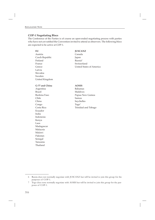#### **COP-1 Negotiating Blocs**

The Conference of the Parties is of course an open-ended negotiating process with parties who have not yet ratified the Convention invited to attend as observers. The following blocs are expected to be active at COP-1.

## **EU JUSCANZ** Austria Canada Czech Republic **Japan** Finland Russia<sup>6</sup> France Switzerland Greece United States of America Latvia Slovakia Sweden United Kingdom **G-77 and China AOSIS** Argentina Bahamas Brazil Maldives Burkina Faso Papua New Guinea Chile Samoa China Seychelles Congo Togo<sup>7</sup> Costa Rica **Trinidad** and Tobago Ecuador India Indonesia Kenya Laos Madagascar Malaysia Malawi Pakistan Senegal Tanzania Thailand

<sup>6</sup> Russia does not normally negotiate with JUSCANZ but will be invited to join this group for the purposes of COP-1.

<sup>7</sup> Togo does note normally negotiate with AOSIS but will be invited to join this group for the purposes of COP-1.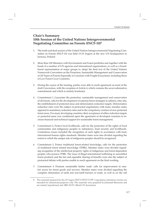# **Chair's Summary 10th Session of the United Nations Intergovernmental Negotiating Committee on Forests (INCF-10)8**

- The tenth and final session of the United Nations Intergovernmental Negotiating Committee on Forests (INCF-10) was held 15-19 August at the new UN headquarters in Joensuu, Finland.
- 2. More than 100 Ministers with Environment and Forest portfolios met together with the heads of a number of UN agencies and international organizations, as well as a broadbased representation of major groups to adopt the final text of the United Nations Framework Convention on the Protection, Sustainable Management and Conservation of All Types of Forests Especially in Countries with Fragile Ecosystems, including those of Low Forest Cover Countries.
- 3. During the course of the meeting, parties were able to reach agreement on most of the draft Convention, with the exception of Article 4, which contains the seven substantive commitments and which is entirely bracketed.
- 4. Commitment 1, Guarantee the protection, sustainable management and conservation of all forests, calls for the development of national forest strategies to address, inter alia, the establishment of protected areas and deforestation reduction targets. Deforestation reduction rates were the subject of protracted negotiations with many member states opposed to mandatory reduction rates and to the compulsory creation of new protected forest areas. For many developing countries, their acceptance of either reduction targets or protected areas was conditional upon the agreement of developed countries to increase financial and technical support for sustainable forest management.
- 5. Commitment 2, Protect local livelihoods, calls for the protection of the rights of local communities and indigenous peoples to subsistence, food security and livelihoods. Contentious issues included the recognition of such rights in accordance with basic international human rights standards. Member states were also divided regarding the extent to which the unique role of indigenous peoples should be recognized.
- 6. Commitment 3, Protect traditional forest-related knowledge, calls for the protection of traditional forest related knowledge (TFRK). Member states were divided regarding recognition of the intellectual property rights of indigenous and forest-dependent peoples who possess TFRK. The issue of illegal international trafficking in uncertified forest products and the fair and equitable sharing of benefits were also the subject of protracted debate with parties unable to reach agreement on the final wording.
- 7. Commitment 4 'Promote sustainable timber trade' calls for improvement in market access for forest goods and services. Member states were divided regarding the complete elimination of tariff and non-tariff barriers to trade, as well as on the call

<sup>8</sup> The materials prepared for the 24 August 2005 UNFCF COP-1 negotiation simulation exercise are intended for educational purposes only. The materials were prepared by Johannah Bernstein and are entirely hypothetical and ARE NOT official UN documents.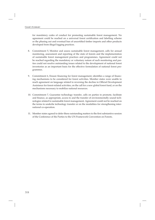for mandatory codes of conduct for promoting sustainable forest management. No agreement could be reached on a universal forest certification and labelling scheme or the phasing out and eventual ban of uncertified timber imports and other products developed from illegal logging practices.

- 8. Commitment 5, Monitor and assess sustainable forest management, calls for annual monitoring, assessment and reporting of the state of forests and the implementation of sustainable forest management practices and programmes. Agreement could not be reached regarding the mandatory or voluntary nature of such monitoring and parties could not resolve outstanding issues related to the development of national forest inventories as an important basis for the effective formulation of national forest programmes.
- 9. Commitment 6, Ensure financing for forest management, identifies a range of financing mechanisms to be considered for forest activities. Member states were unable to reach agreement on language related to reversing the decline in Official Development Assistance for forest-related activities, on the call for a new global forest fund, or on the mechanisms necessary to mobilize national resources.
- 10. Commitment 7, Guarantee technology transfer, calls on parties to promote, facilitate and finance, as appropriate, access to and the transfer of environmentally sound technologies related to sustainable forest management. Agreement could not be reached on the terms to underlie technology transfer or on the modalities for strengthening international co-operation.
- 11. Member states agreed to defer these outstanding matters to the first substantive session of the Conference of the Parties to the UN Framework Convention on Forests.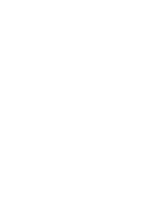$\frac{1}{\sqrt{2}} \int_{-\infty}^{\infty} \frac{1}{\sqrt{2}} \, d \mu \, d \mu$  $\frac{1}{2}$  $\begin{array}{c} - \\ | \end{array}$  $\frac{1}{\sqrt{2}}$